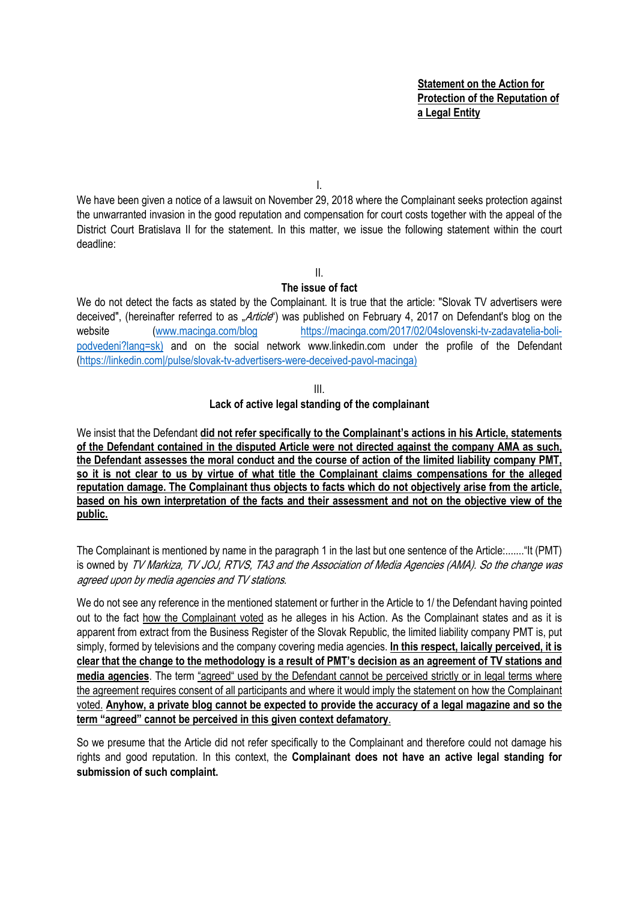**Statement on the Action for Protection of the Reputation of a Legal Entity** 

I.

We have been given a notice of a lawsuit on November 29, 2018 where the Complainant seeks protection against the unwarranted invasion in the good reputation and compensation for court costs together with the appeal of the District Court Bratislava II for the statement. In this matter, we issue the following statement within the court deadline:

II.

#### **The issue of fact**

We do not detect the facts as stated by the Complainant. It is true that the article: "Slovak TV advertisers were deceived", (hereinafter referred to as "Article") was published on February 4, 2017 on Defendant's blog on the website (www.macinga.com/blog https://macinga.com/2017/02/04slovenski-tv-zadavatelia-bolipodvedeni?lang=sk) and on the social network www.linkedin.com under the profile of the Defendant (https://linkedin.com|/pulse/slovak-tv-advertisers-were-deceived-pavol-macinga)

III.

## **Lack of active legal standing of the complainant**

We insist that the Defendant **did not refer specifically to the Complainant's actions in his Article, statements of the Defendant contained in the disputed Article were not directed against the company AMA as such, the Defendant assesses the moral conduct and the course of action of the limited liability company PMT, so it is not clear to us by virtue of what title the Complainant claims compensations for the alleged reputation damage. The Complainant thus objects to facts which do not objectively arise from the article, based on his own interpretation of the facts and their assessment and not on the objective view of the public.**

The Complainant is mentioned by name in the paragraph 1 in the last but one sentence of the Article:......."It (PMT) is owned by TV Markiza, TV JOJ, RTVS, TA3 and the Association of Media Agencies (AMA). So the change was agreed upon by media agencies and TV stations.

We do not see any reference in the mentioned statement or further in the Article to 1/ the Defendant having pointed out to the fact how the Complainant voted as he alleges in his Action. As the Complainant states and as it is apparent from extract from the Business Register of the Slovak Republic, the limited liability company PMT is, put simply, formed by televisions and the company covering media agencies. **In this respect, laically perceived, it is clear that the change to the methodology is a result of PMT's decision as an agreement of TV stations and media agencies**. The term "agreed" used by the Defendant cannot be perceived strictly or in legal terms where the agreement requires consent of all participants and where it would imply the statement on how the Complainant voted. **Anyhow, a private blog cannot be expected to provide the accuracy of a legal magazine and so the term "agreed" cannot be perceived in this given context defamatory**.

So we presume that the Article did not refer specifically to the Complainant and therefore could not damage his rights and good reputation. In this context, the **Complainant does not have an active legal standing for submission of such complaint.**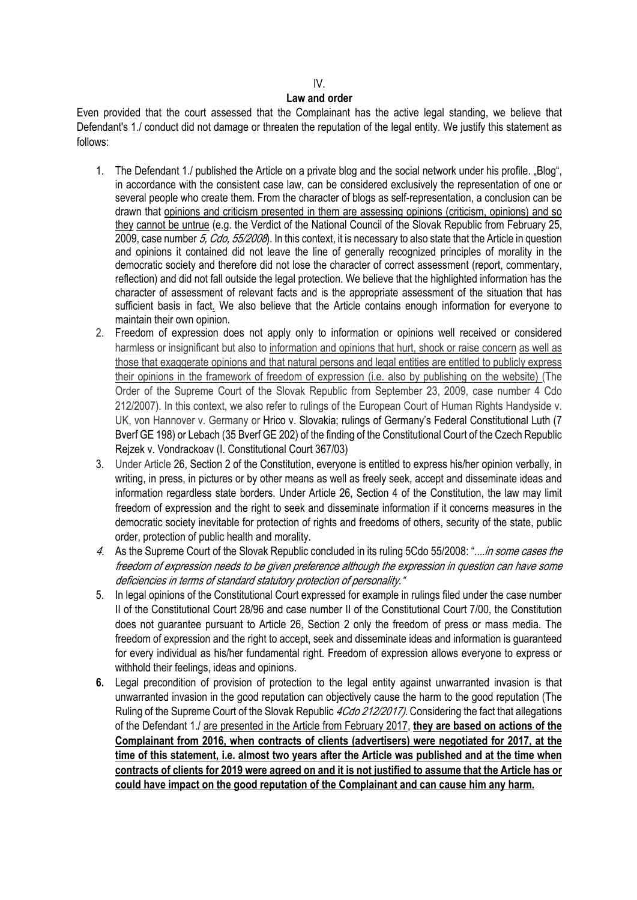# $\overline{M}$ .

## **Law and order**

Even provided that the court assessed that the Complainant has the active legal standing, we believe that Defendant's 1./ conduct did not damage or threaten the reputation of the legal entity. We justify this statement as follows:

- 1. The Defendant 1./ published the Article on a private blog and the social network under his profile. "Blog", in accordance with the consistent case law, can be considered exclusively the representation of one or several people who create them. From the character of blogs as self-representation, a conclusion can be drawn that opinions and criticism presented in them are assessing opinions (criticism, opinions) and so they cannot be untrue (e.g. the Verdict of the National Council of the Slovak Republic from February 25, 2009, case number 5, Cdo, 55/2008). In this context, it is necessary to also state that the Article in question and opinions it contained did not leave the line of generally recognized principles of morality in the democratic society and therefore did not lose the character of correct assessment (report, commentary, reflection) and did not fall outside the legal protection. We believe that the highlighted information has the character of assessment of relevant facts and is the appropriate assessment of the situation that has sufficient basis in fact. We also believe that the Article contains enough information for everyone to maintain their own opinion.
- 2. Freedom of expression does not apply only to information or opinions well received or considered harmless or insignificant but also to information and opinions that hurt, shock or raise concern as well as those that exaggerate opinions and that natural persons and legal entities are entitled to publicly express their opinions in the framework of freedom of expression (i.e. also by publishing on the website) (The Order of the Supreme Court of the Slovak Republic from September 23, 2009, case number 4 Cdo 212/2007). In this context, we also refer to rulings of the European Court of Human Rights Handyside v. UK, von Hannover v. Germany or Hrico v. Slovakia; rulings of Germany's Federal Constitutional Luth (7 Bverf GE 198) or Lebach (35 Bverf GE 202) of the finding of the Constitutional Court of the Czech Republic Rejzek v. Vondrackoav (I. Constitutional Court 367/03)
- 3. Under Article 26, Section 2 of the Constitution, everyone is entitled to express his/her opinion verbally, in writing, in press, in pictures or by other means as well as freely seek, accept and disseminate ideas and information regardless state borders. Under Article 26, Section 4 of the Constitution, the law may limit freedom of expression and the right to seek and disseminate information if it concerns measures in the democratic society inevitable for protection of rights and freedoms of others, security of the state, public order, protection of public health and morality.
- 4. As the Supreme Court of the Slovak Republic concluded in its ruling 5Cdo 55/2008: "....in some cases the freedom of expression needs to be given preference although the expression in question can have some deficiencies in terms of standard statutory protection of personality."
- 5. In legal opinions of the Constitutional Court expressed for example in rulings filed under the case number II of the Constitutional Court 28/96 and case number II of the Constitutional Court 7/00, the Constitution does not guarantee pursuant to Article 26, Section 2 only the freedom of press or mass media. The freedom of expression and the right to accept, seek and disseminate ideas and information is guaranteed for every individual as his/her fundamental right. Freedom of expression allows everyone to express or withhold their feelings, ideas and opinions.
- **6.** Legal precondition of provision of protection to the legal entity against unwarranted invasion is that unwarranted invasion in the good reputation can objectively cause the harm to the good reputation (The Ruling of the Supreme Court of the Slovak Republic 4Cdo 212/2017). Considering the fact that allegations of the Defendant 1./ are presented in the Article from February 2017, **they are based on actions of the Complainant from 2016, when contracts of clients (advertisers) were negotiated for 2017, at the time of this statement, i.e. almost two years after the Article was published and at the time when contracts of clients for 2019 were agreed on and it is not justified to assume that the Article has or could have impact on the good reputation of the Complainant and can cause him any harm.**